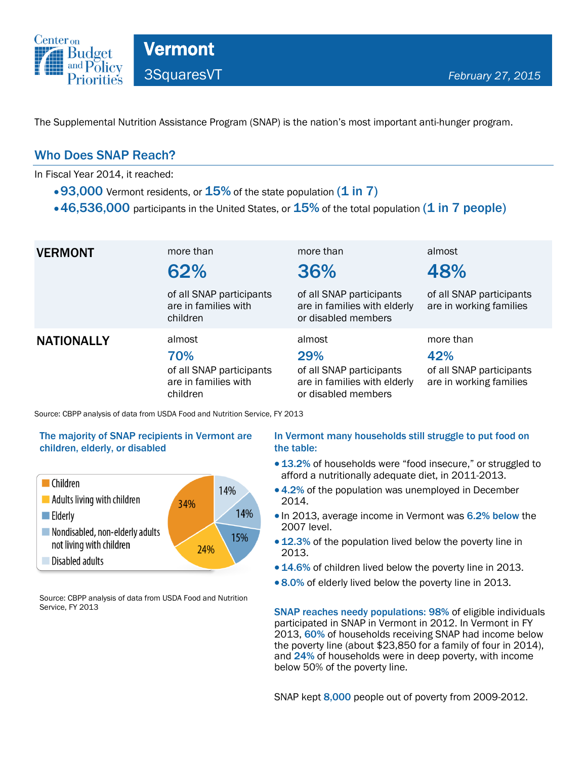

The Supplemental Nutrition Assistance Program (SNAP) is the nation's most important anti-hunger program.

### Who Does SNAP Reach?

In Fiscal Year 2014, it reached:

- $\cdot$  93,000 Vermont residents, or  $15\%$  of the state population (1 in 7)
- $\cdot$  46,536,000 participants in the United States, or  $15\%$  of the total population (1 in 7 people)

| <b>VERMONT</b>    | more than<br>62%<br>of all SNAP participants<br>are in families with<br>children                                                                             | more than<br>36%<br>of all SNAP participants<br>are in families with elderly<br>or disabled members | almost<br>48%<br>of all SNAP participants<br>are in working families    |
|-------------------|--------------------------------------------------------------------------------------------------------------------------------------------------------------|-----------------------------------------------------------------------------------------------------|-------------------------------------------------------------------------|
| <b>NATIONALLY</b> | almost<br>70%<br>of all SNAP participants<br>are in families with<br>children<br>Source: CBPP analysis of data from USDA Food and Nutrition Service, FY 2013 | almost<br>29%<br>of all SNAP participants<br>are in families with elderly<br>or disabled members    | more than<br>42%<br>of all SNAP participants<br>are in working families |

#### The majority of SNAP recipients in Vermont are children, elderly, or disabled



Source: CBPP analysis of data from USDA Food and Nutrition Service, FY 2013

#### In Vermont many households still struggle to put food on the table:

- 13.2% of households were "food insecure," or struggled to afford a nutritionally adequate diet, in 2011-2013.
- 4.2% of the population was unemployed in December 2014.
- In 2013, average income in Vermont was 6.2% below the 2007 level.
- 12.3% of the population lived below the poverty line in 2013.
- 14.6% of children lived below the poverty line in 2013.
- 8.0% of elderly lived below the poverty line in 2013.

SNAP reaches needy populations: 98% of eligible individuals participated in SNAP in Vermont in 2012. In Vermont in FY 2013, 60% of households receiving SNAP had income below the poverty line (about \$23,850 for a family of four in 2014), and 24% of households were in deep poverty, with income below 50% of the poverty line.

SNAP kept 8,000 people out of poverty from 2009-2012.